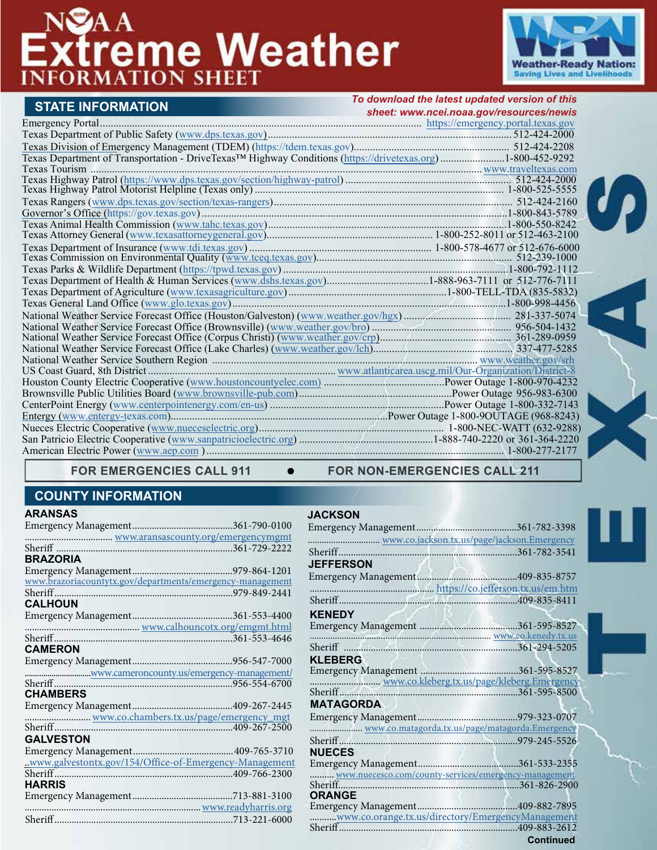

|                                                                                                                         | To download the latest updated version of this |
|-------------------------------------------------------------------------------------------------------------------------|------------------------------------------------|
| <b>STATE INFORMATION</b>                                                                                                | sheet: www.ncei.noaa.gov/resources/newis       |
|                                                                                                                         |                                                |
|                                                                                                                         |                                                |
|                                                                                                                         |                                                |
| Texas Department of Transportation - DriveTexas <sup>TM</sup> Highway Conditions (https://drivetexas.org)1-800-452-9292 |                                                |
|                                                                                                                         |                                                |
|                                                                                                                         |                                                |
|                                                                                                                         |                                                |
|                                                                                                                         |                                                |
|                                                                                                                         |                                                |
|                                                                                                                         |                                                |
|                                                                                                                         |                                                |
|                                                                                                                         |                                                |
|                                                                                                                         |                                                |
|                                                                                                                         |                                                |
|                                                                                                                         |                                                |
|                                                                                                                         |                                                |
|                                                                                                                         |                                                |
|                                                                                                                         |                                                |
|                                                                                                                         |                                                |
|                                                                                                                         |                                                |
|                                                                                                                         |                                                |
|                                                                                                                         |                                                |
|                                                                                                                         |                                                |
|                                                                                                                         |                                                |
|                                                                                                                         |                                                |
|                                                                                                                         |                                                |
|                                                                                                                         |                                                |
|                                                                                                                         |                                                |
|                                                                                                                         |                                                |
|                                                                                                                         |                                                |

FOR EMERGENCIES CALL 911  $\bullet$  FOR NON-EMERGENCIES CALL 211

# **COUNTY INFORMATION**

| <b>BRAZORIA</b>                                           |  |
|-----------------------------------------------------------|--|
|                                                           |  |
| www.brazoriacountytx.gov/departments/emergency-management |  |
|                                                           |  |
| <b>CALHOUN</b>                                            |  |
|                                                           |  |
| www.calhouncotx.org/emgmt.html                            |  |
|                                                           |  |
| <b>CAMERON</b>                                            |  |
|                                                           |  |
| www.cameroncounty.us/emergency-management/                |  |
|                                                           |  |
| <b>CHAMBERS</b>                                           |  |
|                                                           |  |
| www.co.chambers.tx.us/page/emergency_mgt                  |  |
| Sheriff                                                   |  |
| <b>GALVESTON</b>                                          |  |
|                                                           |  |
| www.galvestontx.gov/154/Office-of-Emergency-Management    |  |
|                                                           |  |
| <b>HARRIS</b>                                             |  |
|                                                           |  |
|                                                           |  |
|                                                           |  |

### **JACKSON**

| www.co.jackson.tx.us/page/jackson.Emergency           |                  |
|-------------------------------------------------------|------------------|
|                                                       |                  |
| <b>JEFFERSON</b>                                      |                  |
|                                                       |                  |
|                                                       |                  |
|                                                       |                  |
| <b>KENEDY</b>                                         |                  |
|                                                       |                  |
| www.co.kenedy.tx.us                                   |                  |
|                                                       |                  |
| <b>KLEBERG</b>                                        |                  |
|                                                       |                  |
|                                                       |                  |
|                                                       |                  |
| <b>MATAGORDA</b>                                      |                  |
|                                                       |                  |
| www.co.matagorda.tx.us/page/matagorda.Emergency       |                  |
|                                                       |                  |
| <b>NUECES</b>                                         |                  |
|                                                       |                  |
| www.nuecesco.com/county-services/emergency-management |                  |
|                                                       |                  |
| <b>ORANGE</b>                                         |                  |
|                                                       |                  |
| www.co.orange.tx.us/directory/EmergencyManagement     |                  |
|                                                       |                  |
|                                                       | <b>Continued</b> |



 $\boldsymbol{\omega}$